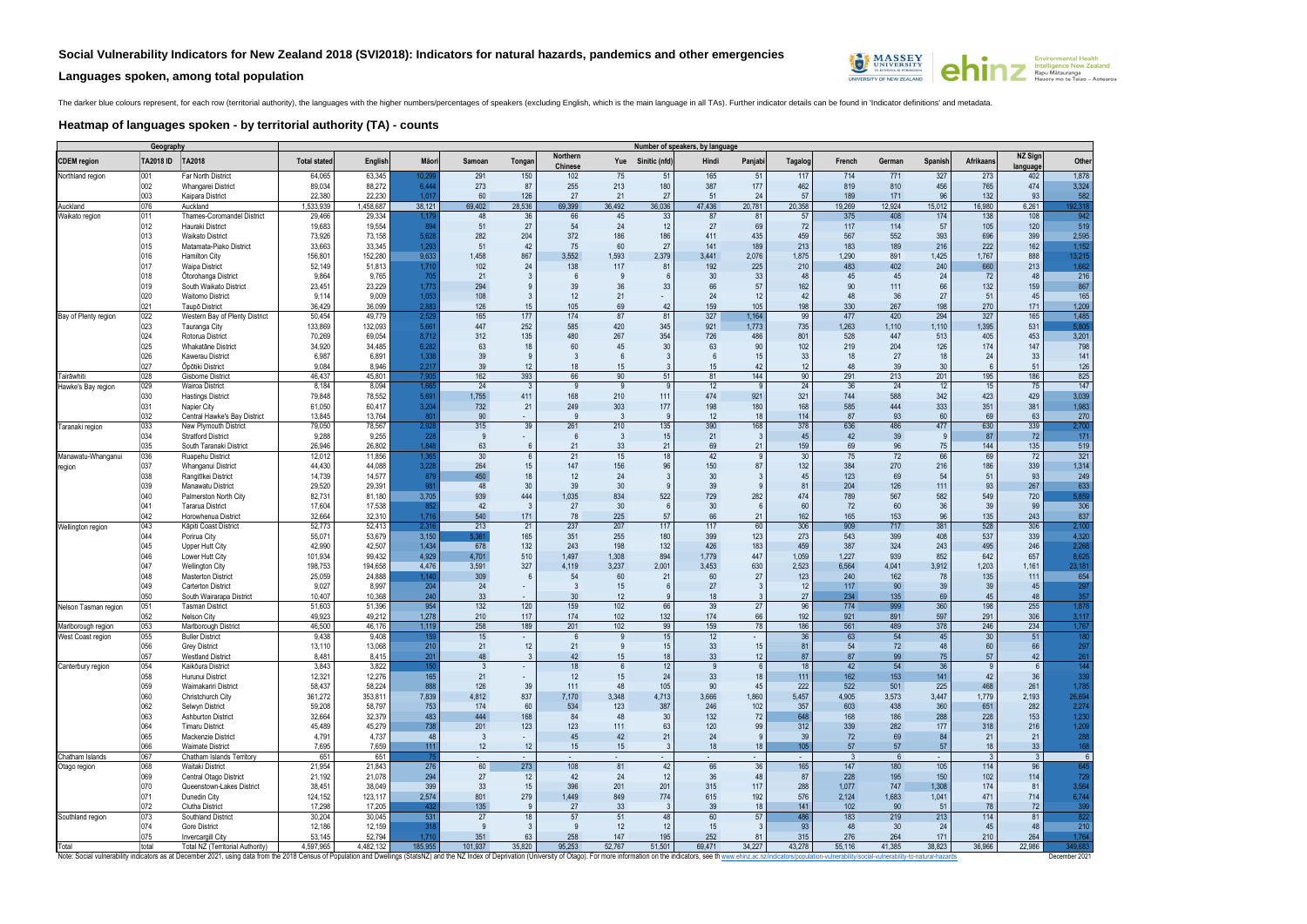## **Languages spoken, among total population**



The darker blue colours represent, for each row (territorial authority), the languages with the higher numbers/percentages of speakers (excluding English, which is the main language in all TAs). Further indicator details c

## **Heatmap of languages spoken - by territorial authority (TA) - counts**

| Geography                       |            |                                                                                                                                                                                                                                | Number of speakers, by language<br><b>NZ Sign</b> |                     |                 |                       |                            |                     |                        |                   |              |                |                        |               |                        |                            |                  |                      |                 |
|---------------------------------|------------|--------------------------------------------------------------------------------------------------------------------------------------------------------------------------------------------------------------------------------|---------------------------------------------------|---------------------|-----------------|-----------------------|----------------------------|---------------------|------------------------|-------------------|--------------|----------------|------------------------|---------------|------------------------|----------------------------|------------------|----------------------|-----------------|
| <b>CDEM</b> region              | TA2018 ID  | TA2018                                                                                                                                                                                                                         | <b>Total stated</b>                               | English             | Māori           | Samoan                | Tongan                     | Northern<br>Chinese |                        | Yue Sinitic (nfd) | Hindi        | Panjabi        | Tagalog                | French        | German                 | Spanish                    | <b>Afrikaans</b> | language             | Other           |
| Northland region                | 001        | Far North District                                                                                                                                                                                                             | 64,065                                            | 63,345              | 10,29!          | 291                   | 150                        | 102                 | 75                     | 51                | 165          | 51             | 117                    | 714           | 771                    | 327                        | 273              | 402                  | 1,878           |
|                                 | 002        | Whangarei District                                                                                                                                                                                                             | 89,034                                            | 88,272              | 6,444           | 273                   | 87                         | 255                 | 213                    | 180               | 387          | 177            | 462                    | 819           | 810                    | 456                        | 765              | 474                  | 3,324           |
| Auckland                        | 003<br>076 | Kaipara District<br>Auckland                                                                                                                                                                                                   | 22,380<br>1,533,939                               | 22,230<br>1,458,687 | 1.017<br>38,121 | 60<br>69,402          | 126<br>28,536              | 27<br>69,399        | 21<br>36,492           | 27<br>36,036      | 51<br>47,436 | 24<br>20,781   | 57<br>20,358           | 189<br>19,269 | 171<br>12,924          | 96<br>15,012               | 132<br>16,980    | 93<br>6,261          | 582<br>192,318  |
| Waikato region                  | 011        | <b>Thames-Coromandel District</b>                                                                                                                                                                                              | 29,466                                            | 29,334              | 1,175           | 48                    | 36                         | 66                  | 45                     | 33                | 87           | 81             | 57                     | 375           | 408                    | 174                        | 138              | 108                  | 942             |
|                                 | 012        | Hauraki District                                                                                                                                                                                                               | 19,683                                            | 19,554              | 894             | 51                    | 27                         | 54                  | 24                     | 12                | 27           | 69             | 72                     | 117           | 114                    | 57                         | 105              | 120                  | 519             |
|                                 | 013        | <b>Waikato District</b>                                                                                                                                                                                                        | 73,926                                            | 73,158              | 5,628           | 282                   | 204                        | 372                 | 186                    | 186               | 411          | 435            | 459                    | 567           | 552                    | 393                        | 696              | 399                  | 2,595           |
|                                 | 015        | Matamata-Piako District                                                                                                                                                                                                        | 33,663                                            | 33,345              | 1,293           | 51                    | 42                         | 75                  | 60                     | 27                | 141          | 189            | 213                    | 183           | 189                    | 216                        | 222              | 162                  | 1,152           |
|                                 | 016<br>017 | <b>Hamilton City</b><br><b>Waipa District</b>                                                                                                                                                                                  | 156,801<br>52,149                                 | 152,280<br>51,813   | 9,633<br>1,710  | 1,458<br>102          | 867<br>24                  | 3,552<br>138        | 1,593<br>117           | 2,379<br>81       | 3,441<br>192 | 2,076<br>225   | 1,875<br>210           | 1,290<br>483  | 891<br>402             | 1,425<br>240               | 1,767<br>660     | 888<br>213           | 13,215<br>1,662 |
|                                 | 018        | Otorohanga District                                                                                                                                                                                                            | 9,864                                             | 9,765               | 705             | 21                    |                            | - 6                 | 9                      |                   | 30           | 33             | 48                     | 45            | 45                     | 24                         | 72               | 48                   | 216             |
|                                 | 019        | South Waikato District                                                                                                                                                                                                         | 23,451                                            | 23,229              | 1,773           | 294                   | $\mathbf{q}$               | 39                  | 36                     | 33                | 66           | 57             | 162                    | 90            | 111                    | 66                         | 132              | 159                  | 867             |
|                                 | 020        | <b>Waitomo District</b>                                                                                                                                                                                                        | 9,114                                             | 9,009               | 1,053           | 108                   | $\mathcal{S}$              | 12                  | 21                     | $\sim$            | 24           | 12             | 42                     | 48            | 36                     | 27                         | 51               | 45                   | 165             |
|                                 | 021        | Taupō District                                                                                                                                                                                                                 | 36,429                                            | 36,099              | 2,883           | 126                   | 15                         | 105                 | 69                     | 42                | 159          | 105            | 198                    | 330           | 267                    | 198                        | 270              | 171                  | 1,209           |
| Bay of Plenty region            | 022<br>023 | Western Bay of Plenty District<br>Tauranga City                                                                                                                                                                                | 50,454<br>133,869                                 | 49,779<br>132,093   | 2,52<br>5,66'   | 165<br>447            | 177<br>252                 | 174<br>585          | 87<br>420              | 81<br>345         | 327<br>921   | 1,164<br>1,773 | 99<br>735              | 477<br>1,263  | 420<br>1,110           | 294<br>1,110               | 327<br>1,395     | 165<br>531           | 1,485<br>5,805  |
|                                 | 024        | Rotorua District                                                                                                                                                                                                               | 70,269                                            | 69,054              | 8,712           | 312                   | 135                        | 480                 | 267                    | 354               | 726          | 486            | 801                    | 528           | 447                    | 513                        | 405              | 453                  | 3,201           |
|                                 | 025        | Whakatāne District                                                                                                                                                                                                             | 34,920                                            | 34,485              | 6,282           | 63                    | 18                         | 60                  | 45                     | 30                | 63           | 90             | 102                    | 219           | 204                    | 126                        | 174              | 147                  | 798             |
|                                 | 026        | <b>Kawerau District</b>                                                                                                                                                                                                        | 6,987                                             | 6,891               | 1,338           | 39                    | 9                          | 3                   | 6                      |                   | 6            | 15             | 33                     | 18            | 27                     | 18                         | 24               | 33                   | 141             |
|                                 | 027        | Öpötiki District                                                                                                                                                                                                               | 9,084                                             | 8,946               | 2,217           | 39                    | 12                         | 18                  | 15                     | 3                 | 15           | 42             | 12                     | 48            | 39                     | 30 <sup>°</sup>            | 6                | 51                   | 126             |
| Tairāwhiti                      | 028<br>029 | <b>Gisborne District</b>                                                                                                                                                                                                       | 46,437<br>8,184                                   | 45,801<br>8,094     | 7,90            | 162<br>24             | 393<br>$\mathbf{3}$        | 66<br>9             | 90<br>9                | 51<br>9           | 81<br>12     | 144<br>9       | 90<br>24               | 291<br>36     | 213<br>24              | 201<br>12                  | 195<br>15        | 186<br>75            | 825<br>147      |
| Hawke's Bay region              | 030        | Wairoa District<br><b>Hastings District</b>                                                                                                                                                                                    | 79,848                                            | 78,552              | 1,66<br>5,691   | 1,755                 | 411                        | 168                 | 210                    | 111               | 474          | 921            | 321                    | 744           | 588                    | 342                        | 423              | 429                  | 3,039           |
|                                 | 031        | Napier City                                                                                                                                                                                                                    | 61,050                                            | 60,417              | 3,204           | 732                   | 21                         | 249                 | 303                    | 177               | 198          | 180            | 168                    | 585           | 444                    | 333                        | 351              | 381                  | 1,983           |
|                                 | 032        | Central Hawke's Bay District                                                                                                                                                                                                   | 13,845                                            | 13,764              | 801             | 90                    | ÷.                         | -9                  | 3                      | -9                | 12           | 18             | 114                    | 87            | 93                     | 60                         | 69               | 63                   | 270             |
| Taranaki region                 | 033        | New Plymouth District                                                                                                                                                                                                          | 79,050                                            | 78,567              | 2,92            | 315                   | 39                         | 261                 | 210                    | 135               | 390          | 168            | 378                    | 636           | 486                    | 477                        | 630              | 339                  | 2,700           |
|                                 | 034<br>035 | <b>Stratford District</b>                                                                                                                                                                                                      | 9,288                                             | 9,255               | 228             | 9                     | ÷.                         | 6                   | $\mathbf{3}$           | 15                | 21           | 3              | 45                     | 42            | 39                     | 9                          | 87               | 72                   | 171             |
| Manawatu-Whanganui              | 036        | South Taranaki District<br>Ruapehu District                                                                                                                                                                                    | 26,946<br>12,012                                  | 26,802<br>11,856    | 1,848<br>1,36   | 63<br>30 <sup>°</sup> | 6<br>$6 \overline{6}$      | 21<br>21            | 33<br>15               | 21<br>18          | 69<br>42     | 21<br>9        | 159<br>30 <sup>°</sup> | 69<br>75      | 96<br>72               | 75<br>66                   | 144<br>69        | 135<br>72            | 519<br>321      |
| region                          | 037        | Whanganui District                                                                                                                                                                                                             | 44,430                                            | 44,088              | 3,228           | 264                   | 15                         | 147                 | 156                    | 96                | 150          | 87             | 132                    | 384           | 270                    | 216                        | 186              | 339                  | 1,314           |
|                                 | 038        | Rangitīkei District                                                                                                                                                                                                            | 14,739                                            | 14,577              | 879             | 450                   | 18                         | 12                  | 24                     | 3                 | 30           | 3              | 45                     | 123           | 69                     | 54                         | 51               | 93                   | 249             |
|                                 | 039        | <b>Manawatu District</b>                                                                                                                                                                                                       | 29,520                                            | 29,391              | 981             | 48                    | 30                         | 39                  | 30                     | 9                 | 39           | 9              | 81                     | 204           | 126                    | 111                        | 93               | 267                  | 633             |
|                                 | 040        | Palmerston North City                                                                                                                                                                                                          | 82,731                                            | 81,180              | 3,705           | 939                   | 444                        | 1,035               | 834                    | 522               | 729          | 282            | 474                    | 789           | 567                    | 582                        | 549              | 720                  | 5,859           |
|                                 | 041<br>042 | <b>Tararua District</b><br>Horowhenua District                                                                                                                                                                                 | 17,604<br>32,664                                  | 17,538<br>32,310    | 852<br>1,716    | 42<br>540             | -3<br>171                  | 27<br>78            | 30 <sup>°</sup><br>225 | 6<br>57           | 30<br>66     | 6<br>21        | 60<br>162              | 72<br>165     | 60<br>153              | 36<br>96                   | 39<br>135        | 99<br>243            | 306<br>837      |
| Wellington region               | 043        | Kāpiti Coast District                                                                                                                                                                                                          | 52,773                                            | 52,413              | 2,316           | 213                   | 21                         | 237                 | 207                    | 117               | 117          | 60             | 306                    | 909           | 717                    | 381                        | 528              | 306                  | 2,100           |
|                                 | 044        | Porirua City                                                                                                                                                                                                                   | 55,071                                            | 53,679              | 3,150           | 5,361                 | 165                        | 351                 | 255                    | 180               | 399          | 123            | 273                    | 543           | 399                    | 408                        | 537              | 339                  | 4,320           |
|                                 | 045        | Upper Hutt City                                                                                                                                                                                                                | 42,990                                            | 42,507              | 1,434           | 678                   | 132                        | 243                 | 198                    | 132               | 426          | 183            | 459                    | 387           | 324                    | 243                        | 495              | 246                  | 2,268           |
|                                 | 046        | Lower Hutt City                                                                                                                                                                                                                | 101,934                                           | 99,432              | 4,929           | 4,701                 | 510                        | 1,497               | 1,308                  | 894               | 1,779        | 447            | 1,059                  | 1,227         | 939                    | 852                        | 642              | 657                  | 8,625           |
|                                 | 047<br>048 | <b>Wellington City</b><br><b>Masterton District</b>                                                                                                                                                                            | 198,753<br>25,059                                 | 194,658<br>24,888   | 4,476<br>1,140  | 3,591<br>309          | 327<br>6                   | 4,119<br>54         | 3,237<br>60            | 2,001<br>21       | 3,453<br>60  | 630<br>27      | 2,523<br>123           | 6,564<br>240  | 4,041<br>162           | 3,912<br>78                | 1,203<br>135     | 1,161<br>111         | 23,181<br>654   |
|                                 | 049        | <b>Carterton District</b>                                                                                                                                                                                                      | 9,027                                             | 8,997               | 204             | 24                    | ۰.                         | -3                  | 15                     | 6                 | 27           | 3              | 12                     | 117           | 90                     | 39                         | 39               | 45                   | 297             |
|                                 | 050        | South Wairarapa District                                                                                                                                                                                                       | 10,407                                            | 10,368              | 240             | 33                    |                            | 30                  | 12                     |                   | 18           |                | 27                     | 234           | 135                    | 69                         | 45               | 48                   | 357             |
| Nelson Tasman region            | 051        | Tasman District                                                                                                                                                                                                                | 51,603                                            | 51,396              | 954             | 132                   | 120                        | 159                 | 102                    | 66                | 39           | 27             | 96                     | 774           | 999                    | 360                        | 198              | 255                  | 1,878           |
|                                 | 052        | <b>Nelson City</b>                                                                                                                                                                                                             | 49.923                                            | 49,212              | 1,278           | 210                   | 117                        | 174                 | 102                    | 132               | 174          | 66             | 192                    | 921           | 891                    | 597                        | 291              | 306                  | 3,117           |
| Marlborough region              | 053        | Marlborough District                                                                                                                                                                                                           | 46,500<br>9,438                                   | 46,176<br>9,408     | 1,119           | 258                   | 189                        | 201                 | 102                    | 99                | 159          | 78             | 186                    | 561           | 489                    | 378                        | 246              | 234                  | 1,767           |
| Vest Coast region               | 055<br>056 | <b>Buller District</b><br><b>Grey District</b>                                                                                                                                                                                 | 13,110                                            | 13,068              | 159<br>210      | 15<br>21              | 12                         | $\mathfrak b$<br>21 | 9                      | 15                | 12<br>33     | 15             | 36<br>81               | 63<br>54      | 54<br>72               | 45<br>48                   | 30<br>60         | 51<br>66             | 297             |
|                                 | 057        | <b>Westland District</b>                                                                                                                                                                                                       | 8,481                                             | 8,415               | 201             | 48                    | $\mathcal{S}$              | 42                  | 15 <sup>15</sup>       | 18                | 33           | 12             | 87                     | 87            | 99                     | 75                         | 57               | 42                   | 261             |
| Canterbury region               | 054        | Kaikōura District                                                                                                                                                                                                              | 3,843                                             | 3,822               | 150             | 3                     | ÷.                         | 18                  | 6                      | 12                | -9           | 6              | 18                     | 42            | 54                     | $\overline{36}$            | <b>9</b>         | 6                    | 144             |
|                                 | 058        | Hurunui District                                                                                                                                                                                                               | 12,321                                            | 12,276              | 165             | 21                    | ÷.                         | 12                  | 15                     | 24                | 33           | 18             | 111                    | 162           | 153                    | 141                        | 42               | 36                   | 339             |
|                                 | 059<br>060 | Waimakariri District<br>Christchurch City                                                                                                                                                                                      | 58,437<br>361,272                                 | 58,224<br>353,811   | 888<br>7,839    | 126<br>4,812          | 39<br>837                  | 111<br>7,170        | 48<br>3,348            | 105<br>4,713      | 90<br>3,666  | 45<br>1,860    | 222<br>5,457           | 522<br>4,905  | 501<br>3,573           | 225<br>3,447               | 468<br>1,779     | 261<br>2,193         | 1,785<br>26,694 |
|                                 | 062        | Selwyn District                                                                                                                                                                                                                | 59,208                                            | 58,797              | 753             | 174                   | 60                         | 534                 | 123                    | 387               | 246          | 102            | 357                    | 603           | 438                    | 360                        | 651              | 282                  | 2,274           |
|                                 | 063        | <b>Ashburton District</b>                                                                                                                                                                                                      | 32,664                                            | 32,379              | 483             | 444                   | 168                        | 84                  | 48                     | 30                | 132          | 72             | 648                    | 168           | 186                    | 288                        | 228              | 153                  | 1,230           |
|                                 | 064        | <b>Timaru District</b>                                                                                                                                                                                                         | 45,489                                            | 45,279              | 738             | 201                   | 123                        | 123                 | 111                    | 63                | 120          | 99             | 312                    | 339           | 282                    | 177                        | 318              | 216                  | 1,209           |
|                                 | 065        | Mackenzie District                                                                                                                                                                                                             | 4,791                                             | 4,737               | 48              | 3                     | ÷.                         | 45                  | 42                     | 21                | 24           | 9              | 39                     | 72            | 69                     | 84                         | 21               | 21                   | 288             |
|                                 | 066        | <b>Waimate District</b>                                                                                                                                                                                                        | 7,695                                             | 7,659               | 111             | 12                    | 12                         | 15                  | 15                     | 3                 | 18           | 18             | 105                    | 57            | 57                     | 57                         | 18               | 33 <sup>°</sup>      | 168             |
| Chatham Islands<br>Otago region | 067<br>068 | Chatham Islands Territory<br>Waitaki District                                                                                                                                                                                  | 651<br>21,954                                     | 651<br>21,843       | 75<br>276       | 60                    | $\omega_{\rm{eff}}$<br>273 | 108                 | 81                     | $\sim$<br>42      | 66           | $\sim$<br>36   | $\sim$ $-$<br>165      | -3<br>147     | 6<br>180               | $\omega_{\rm{eff}}$<br>105 | -3<br>114        | 3 <sup>1</sup><br>96 | 6<br>645        |
|                                 | 069        | Central Otago District                                                                                                                                                                                                         | 21,192                                            | 21,078              | 294             | 27                    | 12                         | 42                  | 24                     | 12                | 36           | 48             | 87                     | 228           | 195                    | 150                        | 102              | 114                  | 729             |
|                                 | 070        | Queenstown-Lakes District                                                                                                                                                                                                      | 38,451                                            | 38,049              | 399             | 33                    | 15                         | 396                 | 201                    | 201               | 315          | 117            | 288                    | 1.077         | 747                    | 1,308                      | 174              | 81                   | 3,564           |
|                                 | 071        | Dunedin City                                                                                                                                                                                                                   | 124,152                                           | 123,117             | 2,574           | 801                   | 279                        | 1,449               | 849                    | 774               | 615          | 192            | 576                    | 2,124         | 1,683                  | 1,041                      | 471              | 714                  | 6,744           |
|                                 | 072        | <b>Clutha District</b>                                                                                                                                                                                                         | 17.298                                            | 17.205              | 432             | 135                   | 9                          | 27                  | 33                     | $\mathbf{3}$      | 39           | 18             | 141                    | 102           | 90                     | 51                         | 78               | 72                   | 399             |
| Southland region                | 073<br>074 | Southland District<br><b>Gore District</b>                                                                                                                                                                                     | 30,204<br>12,186                                  | 30,045<br>12,159    | 531<br>318      | 27<br>9               | 18<br>3                    | 57<br>-9            | 51<br>12               | 48<br>12          | 60<br>15     | 57<br>3        | 486<br>93              | 183<br>48     | 219<br>30 <sup>°</sup> | 213<br>24                  | 114<br>45        | 81<br>48             | 822<br>210      |
|                                 | 075        | <b>Invercargill City</b>                                                                                                                                                                                                       | 53.145                                            | 52,794              | 1.710           | 351                   | 63                         | 258                 | 147                    | 195               | 252          | 81             | 315                    | 276           | 264                    | 171                        | 210              | 264                  | 1,764           |
| Total                           | total      | Total NZ (Territorial Authority)                                                                                                                                                                                               | 4,597,965                                         | 4,482,132           | 185,955         | 101,937               | 35,820                     | 95.253              | 52.767                 | 51,501            | 69.471       | 34.227         | 43.278                 | 55.116        | 41.385                 | 38,823                     | 36,966           | 22,986               | 349,683         |
|                                 |            | Note: Social vulnerability indicators as at December 2021, using data from the 2018 Census of Population and Dwellings (StatsNZ) and the NZ Index of Deprivation (University of Otago). For more information on the indicators |                                                   |                     |                 |                       |                            |                     |                        |                   |              |                |                        |               |                        |                            |                  |                      | December 2021   |



**Environmental Freatm<br>Intelligence New Zealand<br>Rapu Mătauranga<br>Hauora mo te Taiao – Aotearoa**